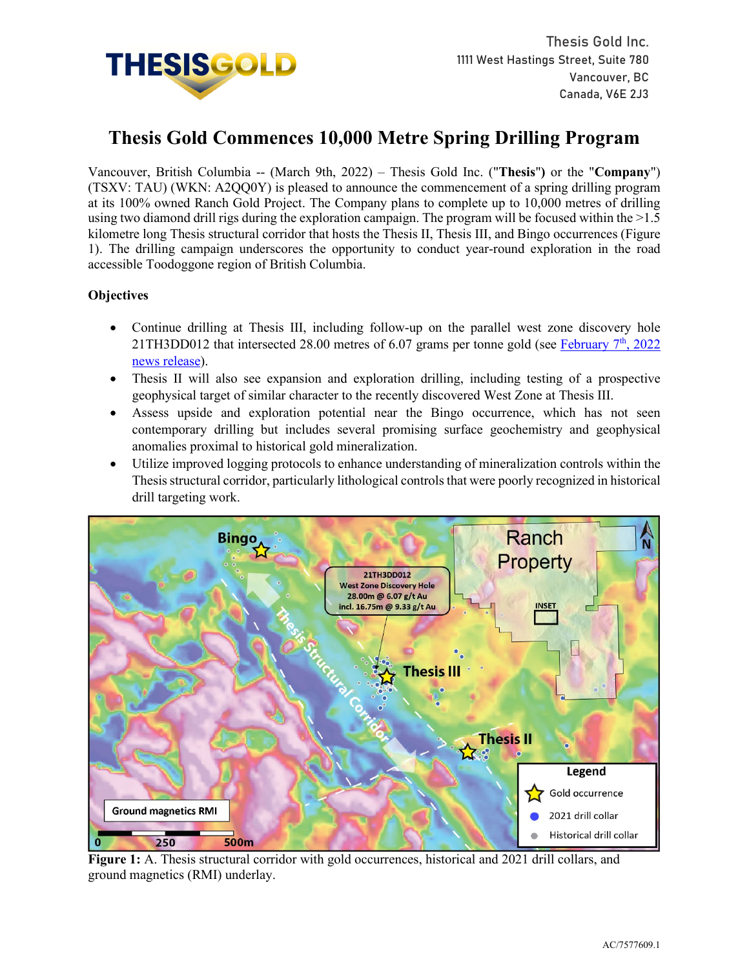

# **Thesis Gold Commences 10,000 Metre Spring Drilling Program**

Vancouver, British Columbia -- (March 9th, 2022) – Thesis Gold Inc. ("**Thesis**"**)** or the "**Company**") (TSXV: TAU) (WKN: A2QQ0Y) is pleased to announce the commencement of a spring drilling program at its 100% owned Ranch Gold Project. The Company plans to complete up to 10,000 metres of drilling using two diamond drill rigs during the exploration campaign. The program will be focused within the >1.5 kilometre long Thesis structural corridor that hosts the Thesis II, Thesis III, and Bingo occurrences (Figure 1). The drilling campaign underscores the opportunity to conduct year-round exploration in the road accessible Toodoggone region of British Columbia.

## **Objectives**

- Continue drilling at Thesis III, including follow-up on the parallel west zone discovery hole 21TH3DD012 that intersected 28.00 metres of 6.07 grams per tonne gold (see February  $7<sup>th</sup>$ , 2022 [news release\)](https://www.thesisgold.com/_resources/news/nr-20220207.pdf).
- Thesis II will also see expansion and exploration drilling, including testing of a prospective geophysical target of similar character to the recently discovered West Zone at Thesis III.
- Assess upside and exploration potential near the Bingo occurrence, which has not seen contemporary drilling but includes several promising surface geochemistry and geophysical anomalies proximal to historical gold mineralization.
- Utilize improved logging protocols to enhance understanding of mineralization controls within the Thesis structural corridor, particularly lithological controls that were poorly recognized in historical drill targeting work.



**Figure 1:** A. Thesis structural corridor with gold occurrences, historical and 2021 drill collars, and ground magnetics (RMI) underlay.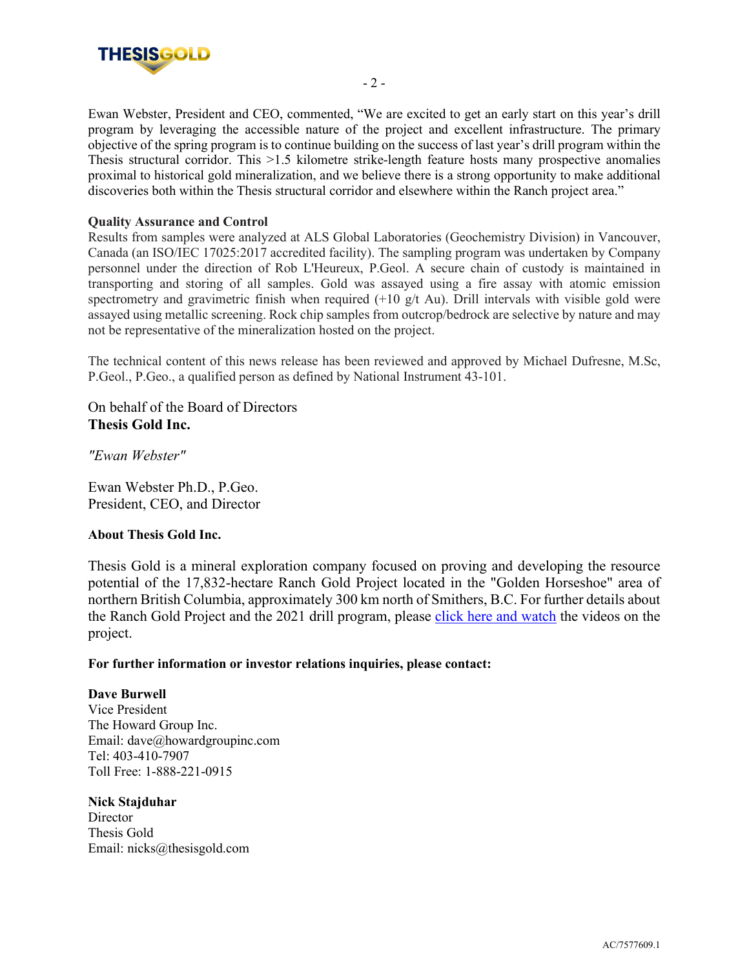

Ewan Webster, President and CEO, commented, "We are excited to get an early start on this year's drill program by leveraging the accessible nature of the project and excellent infrastructure. The primary objective of the spring program is to continue building on the success of last year's drill program within the Thesis structural corridor. This >1.5 kilometre strike-length feature hosts many prospective anomalies proximal to historical gold mineralization, and we believe there is a strong opportunity to make additional discoveries both within the Thesis structural corridor and elsewhere within the Ranch project area."

## **Quality Assurance and Control**

Results from samples were analyzed at ALS Global Laboratories (Geochemistry Division) in Vancouver, Canada (an ISO/IEC 17025:2017 accredited facility). The sampling program was undertaken by Company personnel under the direction of Rob L'Heureux, P.Geol. A secure chain of custody is maintained in transporting and storing of all samples. Gold was assayed using a fire assay with atomic emission spectrometry and gravimetric finish when required  $(+10 \text{ g/t}$  Au). Drill intervals with visible gold were assayed using metallic screening. Rock chip samples from outcrop/bedrock are selective by nature and may not be representative of the mineralization hosted on the project.

The technical content of this news release has been reviewed and approved by Michael Dufresne, M.Sc, P.Geol., P.Geo., a qualified person as defined by National Instrument 43-101.

On behalf of the Board of Directors **Thesis Gold Inc.**

*"Ewan Webster"* 

Ewan Webster Ph.D., P.Geo. President, CEO, and Director

## **About Thesis Gold Inc.**

Thesis Gold is a mineral exploration company focused on proving and developing the resource potential of the 17,832-hectare Ranch Gold Project located in the "Golden Horseshoe" area of northern British Columbia, approximately 300 km north of Smithers, B.C. For further details about the Ranch Gold Project and the 2021 drill program, please click here and watch the videos on the project.

#### **For further information or investor relations inquiries, please contact:**

## **Dave Burwell**

Vice President The Howard Group Inc. Email: dave@howardgroupinc.com Tel: 403-410-7907 Toll Free: 1-888-221-0915

#### **Nick Stajduhar**

**Director** Thesis Gold Email: nicks@thesisgold.com